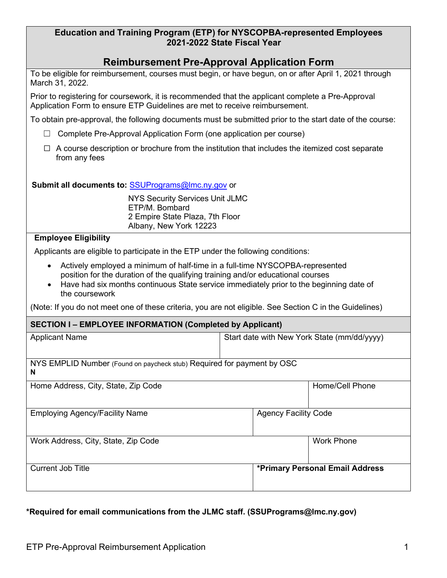| Education and Training Program (ETP) for NYSCOPBA-represented Employees |  |
|-------------------------------------------------------------------------|--|
| 2021-2022 State Fiscal Year                                             |  |

# **Reimbursement Pre-Approval Application Form**

| To be eligible for reimbursement, courses must begin, or have begun, on or after April 1, 2021 through |  |  |
|--------------------------------------------------------------------------------------------------------|--|--|
| March 31, 2022.                                                                                        |  |  |

 Application Form to ensure ETP Guidelines are met to receive reimbursement. Prior to registering for coursework, it is recommended that the applicant complete a Pre-Approval

To obtain pre-approval, the following documents must be submitted prior to the start date of the course:

- ☐ Complete Pre-Approval Application Form (one application per course)
- from any fees  $\Box$  A course description or brochure from the institution that includes the itemized cost separate

#### **Submit all documents to:** SSUPrograms@lmc.ny.gov or

 NYS Security Services Unit JLMC ETP/M. Bombard Albany, New York 12223 2 Empire State Plaza, 7th Floor

### **Employee Eligibility**

Applicants are eligible to participate in the ETP under the following conditions:

- position for the duration of the qualifying training and/or educational courses • Actively employed a minimum of half-time in a full-time NYSCOPBA-represented
- • Have had six months continuous State service immediately prior to the beginning date of the coursework

(Note: If you do not meet one of these criteria, you are not eligible. See Section C in the Guidelines)

#### **SECTION I – EMPLOYEE INFORMATION (Completed by Applicant)**

| <b>Applicant Name</b>                                                       | Start date with New York State (mm/dd/yyyy) |  |  |  |  |
|-----------------------------------------------------------------------------|---------------------------------------------|--|--|--|--|
|                                                                             |                                             |  |  |  |  |
| NYS EMPLID Number (Found on paycheck stub) Required for payment by OSC<br>N |                                             |  |  |  |  |
| Home Address, City, State, Zip Code                                         | Home/Cell Phone                             |  |  |  |  |
| <b>Employing Agency/Facility Name</b>                                       | <b>Agency Facility Code</b>                 |  |  |  |  |
| Work Address, City, State, Zip Code                                         | <b>Work Phone</b>                           |  |  |  |  |
| <b>Current Job Title</b>                                                    | *Primary Personal Email Address             |  |  |  |  |

## **\*Required for email communications from the JLMC staff. ([SSUPrograms@lmc.ny.gov\)](mailto:SSUPrograms@lmc.ny.gov)**